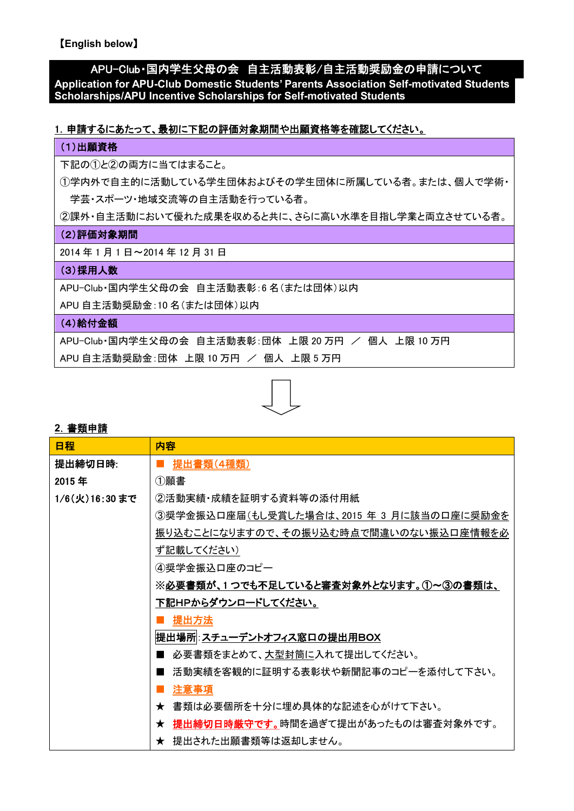【**English below**】

# APU-Club・国内学生父母の会 自主活動表彰/自主活動奨励金の申請について

**Application for APU-Club Domestic Students' Parents Association Self-motivated Students Scholarships/APU Incentive Scholarships for Self-motivated Students**

## 1.申請するにあたって、最初に下記の評価対象期間や出願資格等を確認してください。

#### (1)出願資格

下記の①と②の両方に当てはまること。

①学内外で自主的に活動している学生団体およびその学生団体に所属している者。または、個人で学術・ 学芸・スポーツ・地域交流等の自主活動を行っている者。

②課外・自主活動において優れた成果を収めると共に、さらに高い水準を目指し学業と両立させている者。

#### (2)評価対象期間

2014 年 1 月 1 日~2014 年 12 月 31 日

# (3) 採用人数

APU-Club・国内学生父母の会 自主活動表彰:6 名(または団体)以内

APU 自主活動奨励金:10 名(または団体)以内

## (4)給付金額

APU-Club·国内学生父母の会 自主活動表彰:団体 上限 20 万円 / 個人 上限 10 万円

APU 自主活動奨励金:団体 上限 10 万円 / 個人 上限 5 万円



## **2**.書類申請

| 日程            | 内容                                        |  |
|---------------|-------------------------------------------|--|
| 提出締切日時:       | 提出書類(4種類)                                 |  |
| 2015年         | ①願書                                       |  |
| 1/6(火)16:30まで | ②活動実績・成績を証明する資料等の添付用紙                     |  |
|               | ③奨学金振込口座届(もし受賞した場合は、2015 年 3 月に該当の口座に奨励金を |  |
|               | 振り込むことになりますので、その振り込む時点で間違いのない振込口座情報を必     |  |
|               | ず記載してください)                                |  |
|               | ④奨学金振込口座のコピー                              |  |
|               | ※必要書類が、1つでも不足していると審査対象外となります。①~③の書類は、     |  |
|               | 下記HPからダウンロードしてください。                       |  |
|               | 提出方法                                      |  |
|               | 提出場所 : <u>スチューデントオフィス窓口の提出用BOX</u>        |  |
|               | 必要書類をまとめて、大型封筒に入れて提出してください。               |  |
|               | 活動実績を客観的に証明する表彰状や新聞記事のコピーを添付して下さい。        |  |
|               | 注意事項                                      |  |
|               | ★ 書類は必要個所を十分に埋め具体的な記述を心がけて下さい。            |  |
|               | ★ 提出締切日時厳守です。時間を過ぎて提出があったものは審査対象外です。      |  |
|               | ★ 提出された出願書類等は返却しません。                      |  |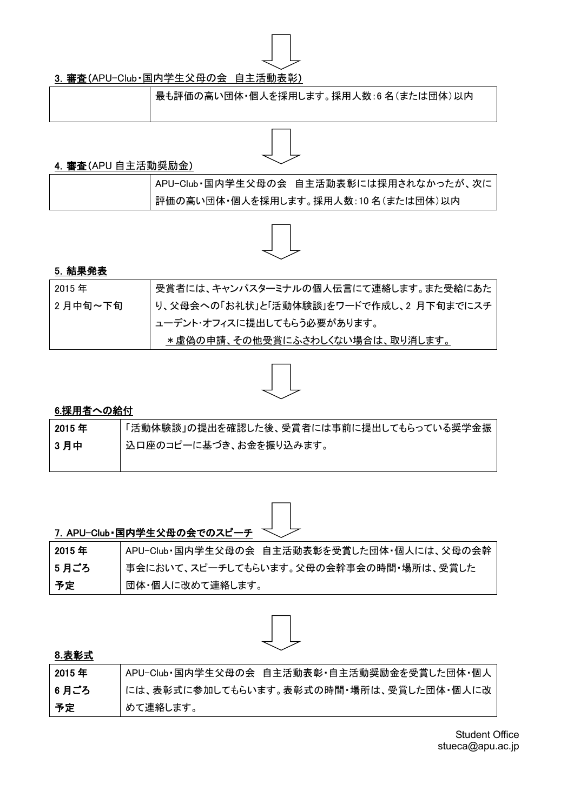

# 3. 審査(APU-Club·国内学生父母の会 自主活動表彰)

最も評価の高い団体・個人を採用します。採用人数:6 名(または団体)以内

## 4.審査(APU 自主活動奨励金)

| APU-Club·国内学生父母の会 自主活動表彰には採用されなかったが、次に |
|----------------------------------------|
| , 評価の高い団体・個人を採用します。採用人数: 10 名(または団体)以内 |



## 5.結果発表

| 2015年   | 受賞者には、キャンパスターミナルの個人伝言にて連絡します。また受給にあた   |
|---------|----------------------------------------|
| 2月中旬~下旬 | り、父母会への「お礼状」と「活動体験談」をワードで作成し、2月下旬までにスチ |
|         | ューデント・オフィスに提出してもらう必要があります。             |
|         | *虚偽の申請、その他受賞にふさわしくない場合は、取り消します。        |



# 6.採用者への給付

| 2015 年 | 「活動体験談」の提出を確認した後、受賞者には事前に提出してもらっている奨学金振 |
|--------|-----------------------------------------|
| 3月中    | ┌ 込口座のコピーに基づき、お金を振り込みます。                |
|        |                                         |



|       | 7. APU-Club·国内学生父母の会でのスピーチ <>              |
|-------|--------------------------------------------|
| 2015年 | APU-Club·国内学生父母の会 自主活動表彰を受賞した団体·個人には、父母の会幹 |
| 5 月ごろ | 事会において、スピーチしてもらいます。父母の会幹事会の時間・場所は、受賞した     |
| 予定    | 団体・個人に改めて連絡します。                            |



## **8.**表彰式

| 2015 年 | APU-Club·国内学生父母の会 自主活動表彰·自主活動奨励金を受賞した団体·個人 |
|--------|--------------------------------------------|
| 6 月ごろ  | には、表彰式に参加してもらいます。表彰式の時間・場所は、受賞した団体・個人に改    |
| 予定     | めて連絡します。                                   |

Student Office stueca@apu.ac.jp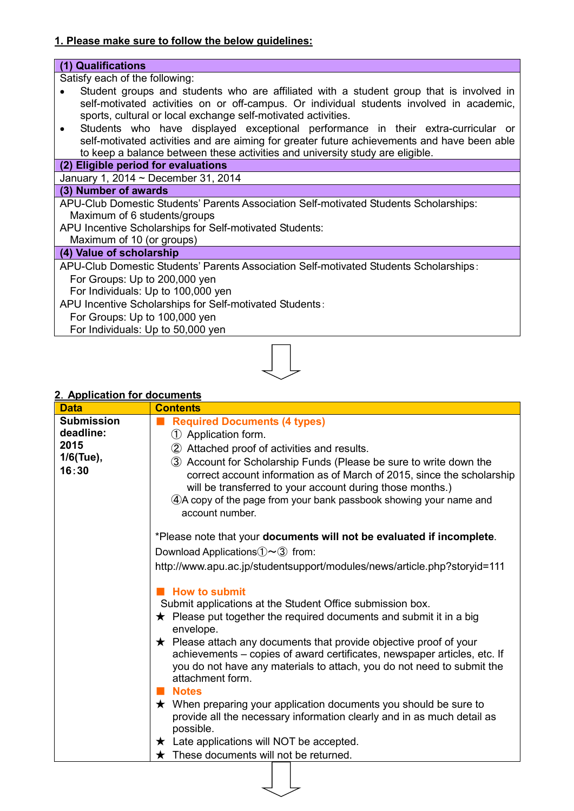## **1. Please make sure to follow the below guidelines:**

#### **(1) Qualifications** Satisfy each of the following: Student groups and students who are affiliated with a student group that is involved in  $\bullet$ self-motivated activities on or off-campus. Or individual students involved in academic, sports, cultural or local exchange self-motivated activities. Students who have displayed exceptional performance in their extra-curricular or  $\bullet$ self-motivated activities and are aiming for greater future achievements and have been able to keep a balance between these activities and university study are eligible. **(2) Eligible period for evaluations** January 1, 2014 ~ December 31, 2014 **(3) Number of awards** APU-Club Domestic Students' Parents Association Self-motivated Students Scholarships: Maximum of 6 students/groups APU Incentive Scholarships for Self-motivated Students: Maximum of 10 (or groups)

## **(4) Value of scholarship**

APU-Club Domestic Students' Parents Association Self-motivated Students Scholarships: For Groups: Up to 200,000 yen

For Individuals: Up to 100,000 yen

APU Incentive Scholarships for Self-motivated Students:

For Groups: Up to 100,000 yen

For Individuals: Up to 50,000 yen



## **2**.**Application for documents**

| <b>Data</b>        | <b>Contents</b>                                                                                                                                                                                                                                                                                    |  |  |  |
|--------------------|----------------------------------------------------------------------------------------------------------------------------------------------------------------------------------------------------------------------------------------------------------------------------------------------------|--|--|--|
| <b>Submission</b>  | <b>Required Documents (4 types)</b>                                                                                                                                                                                                                                                                |  |  |  |
| deadline:          | 1 Application form.                                                                                                                                                                                                                                                                                |  |  |  |
| 2015               | 2 Attached proof of activities and results.                                                                                                                                                                                                                                                        |  |  |  |
| 1/6(Tue),<br>16:30 | 3 Account for Scholarship Funds (Please be sure to write down the<br>correct account information as of March of 2015, since the scholarship<br>will be transferred to your account during those months.)<br>4. A copy of the page from your bank passbook showing your name and<br>account number. |  |  |  |
|                    | *Please note that your documents will not be evaluated if incomplete.                                                                                                                                                                                                                              |  |  |  |
|                    | Download Applications $\mathbb{O}\sim\mathbb{O}$ from:                                                                                                                                                                                                                                             |  |  |  |
|                    | http://www.apu.ac.jp/studentsupport/modules/news/article.php?storyid=111                                                                                                                                                                                                                           |  |  |  |
|                    | <b>How to submit</b>                                                                                                                                                                                                                                                                               |  |  |  |
|                    | Submit applications at the Student Office submission box.                                                                                                                                                                                                                                          |  |  |  |
|                    | $\star$ Please put together the required documents and submit it in a big<br>envelope.                                                                                                                                                                                                             |  |  |  |
|                    | $\star$ Please attach any documents that provide objective proof of your<br>achievements – copies of award certificates, newspaper articles, etc. If<br>you do not have any materials to attach, you do not need to submit the<br>attachment form.                                                 |  |  |  |
|                    | <b>Notes</b>                                                                                                                                                                                                                                                                                       |  |  |  |
|                    | $\star$ When preparing your application documents you should be sure to<br>provide all the necessary information clearly and in as much detail as<br>possible.                                                                                                                                     |  |  |  |
|                    | $\star$ Late applications will NOT be accepted.                                                                                                                                                                                                                                                    |  |  |  |
|                    | These documents will not be returned.                                                                                                                                                                                                                                                              |  |  |  |